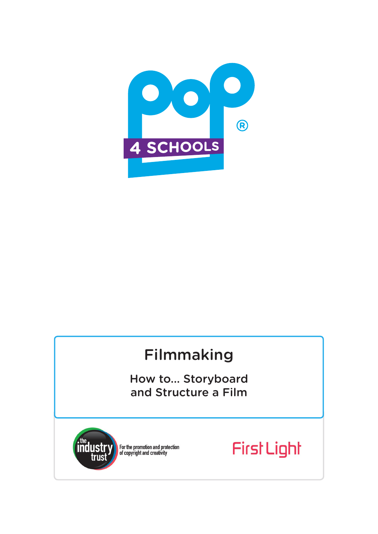

# Filmmaking

How to... Storyboard and Structure a Film



For the promotion and protection<br>of copyright and creativity

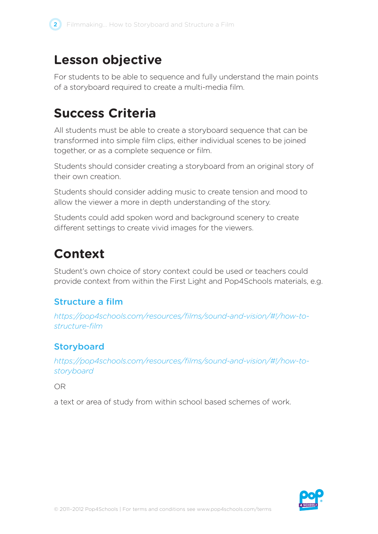## **Lesson objective**

For students to be able to sequence and fully understand the main points of a storyboard required to create a multi-media film.

## **Success Criteria**

All students must be able to create a storyboard sequence that can be transformed into simple film clips, either individual scenes to be joined together, or as a complete sequence or film.

Students should consider creating a storyboard from an original story of their own creation.

Students should consider adding music to create tension and mood to allow the viewer a more in depth understanding of the story.

Students could add spoken word and background scenery to create different settings to create vivid images for the viewers.

# **Context**

Student's own choice of story context could be used or teachers could provide context from within the First Light and Pop4Schools materials, e.g.

## Structure a film

*https://pop4schools.com/resources/films/sound-and-vision/#!/how-tostructure-film*

## **Storyboard**

*https://pop4schools.com/resources/films/sound-and-vision/#!/how-tostoryboard*

OR

a text or area of study from within school based schemes of work.

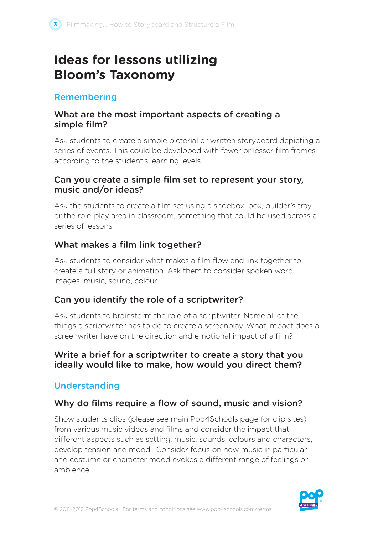## **Ideas for lessons utilizing Bloom's Taxonomy**

#### Remembering

#### What are the most important aspects of creating a simple film?

Ask students to create a simple pictorial or written storyboard depicting a series of events. This could be developed with fewer or lesser film frames according to the student's learning levels.

#### Can you create a simple film set to represent your story, music and/or ideas?

Ask the students to create a film set using a shoebox, box, builder's tray, or the role-play area in classroom, something that could be used across a series of lessons.

#### What makes a film link together?

Ask students to consider what makes a film flow and link together to create a full story or animation. Ask them to consider spoken word, images, music, sound, colour.

## Can you identify the role of a scriptwriter?

Ask students to brainstorm the role of a scriptwriter. Name all of the things a scriptwriter has to do to create a screenplay. What impact does a screenwriter have on the direction and emotional impact of a film?

#### Write a brief for a scriptwriter to create a story that you ideally would like to make, how would you direct them?

## Understanding

## Why do films require a flow of sound, music and vision?

Show students clips (please see main Pop4Schools page for clip sites) from various music videos and films and consider the impact that different aspects such as setting, music, sounds, colours and characters, develop tension and mood. Consider focus on how music in particular and costume or character mood evokes a different range of feelings or ambience.

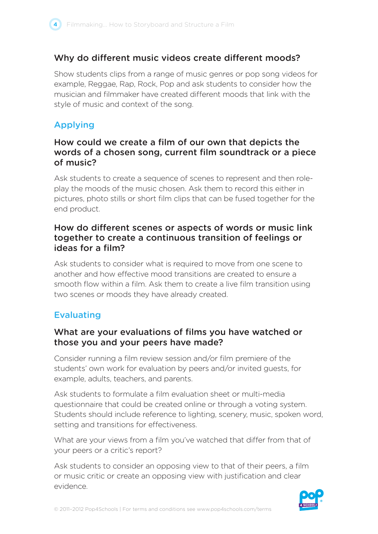

#### Why do different music videos create different moods?

Show students clips from a range of music genres or pop song videos for example, Reggae, Rap, Rock, Pop and ask students to consider how the musician and filmmaker have created different moods that link with the style of music and context of the song.

## Applying

#### How could we create a film of our own that depicts the words of a chosen song, current film soundtrack or a piece of music?

Ask students to create a sequence of scenes to represent and then roleplay the moods of the music chosen. Ask them to record this either in pictures, photo stills or short film clips that can be fused together for the end product.

#### How do different scenes or aspects of words or music link together to create a continuous transition of feelings or ideas for a film?

Ask students to consider what is required to move from one scene to another and how effective mood transitions are created to ensure a smooth flow within a film. Ask them to create a live film transition using two scenes or moods they have already created.

#### **Evaluating**

#### What are your evaluations of films you have watched or those you and your peers have made?

Consider running a film review session and/or film premiere of the students' own work for evaluation by peers and/or invited guests, for example, adults, teachers, and parents.

Ask students to formulate a film evaluation sheet or multi-media questionnaire that could be created online or through a voting system. Students should include reference to lighting, scenery, music, spoken word, setting and transitions for effectiveness.

What are your views from a film you've watched that differ from that of your peers or a critic's report?

Ask students to consider an opposing view to that of their peers, a film or music critic or create an opposing view with justification and clear evidence.

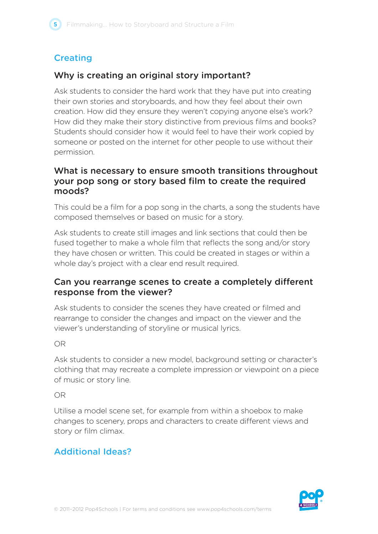## **Creating**

#### Why is creating an original story important?

Ask students to consider the hard work that they have put into creating their own stories and storyboards, and how they feel about their own creation. How did they ensure they weren't copying anyone else's work? How did they make their story distinctive from previous films and books? Students should consider how it would feel to have their work copied by someone or posted on the internet for other people to use without their permission.

#### What is necessary to ensure smooth transitions throughout your pop song or story based film to create the required moods?

This could be a film for a pop song in the charts, a song the students have composed themselves or based on music for a story.

Ask students to create still images and link sections that could then be fused together to make a whole film that reflects the song and/or story they have chosen or written. This could be created in stages or within a whole day's project with a clear end result required.

#### Can you rearrange scenes to create a completely different response from the viewer?

Ask students to consider the scenes they have created or filmed and rearrange to consider the changes and impact on the viewer and the viewer's understanding of storyline or musical lyrics.

#### OR

Ask students to consider a new model, background setting or character's clothing that may recreate a complete impression or viewpoint on a piece of music or story line.

#### OR

Utilise a model scene set, for example from within a shoebox to make changes to scenery, props and characters to create different views and story or film climax.

## Additional Ideas?